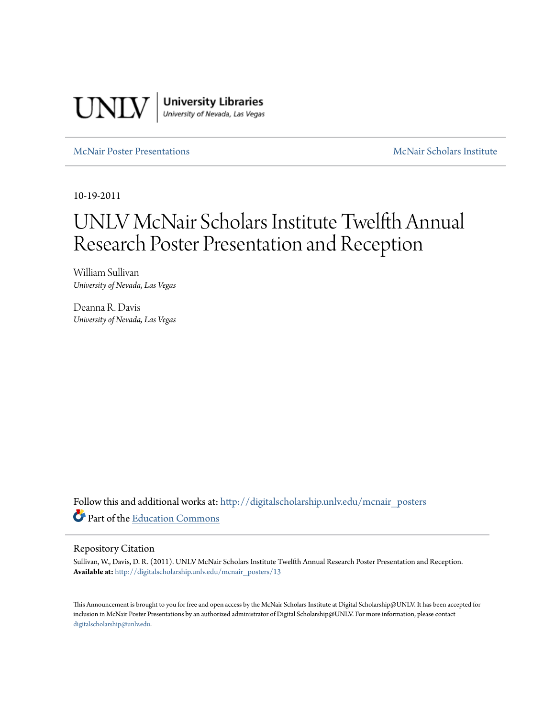

[McNair Poster Presentations](http://digitalscholarship.unlv.edu/mcnair_posters?utm_source=digitalscholarship.unlv.edu%2Fmcnair_posters%2F13&utm_medium=PDF&utm_campaign=PDFCoverPages) [McNair Scholars Institute](http://digitalscholarship.unlv.edu/mcnair_scholars?utm_source=digitalscholarship.unlv.edu%2Fmcnair_posters%2F13&utm_medium=PDF&utm_campaign=PDFCoverPages)

10-19-2011

# UNLV McNair Scholars Institute Twelfth Annual Research Poster Presentation and Reception

William Sullivan *University of Nevada, Las Vegas*

Deanna R. Davis *University of Nevada, Las Vegas*

Follow this and additional works at: [http://digitalscholarship.unlv.edu/mcnair\\_posters](http://digitalscholarship.unlv.edu/mcnair_posters?utm_source=digitalscholarship.unlv.edu%2Fmcnair_posters%2F13&utm_medium=PDF&utm_campaign=PDFCoverPages) Part of the [Education Commons](http://network.bepress.com/hgg/discipline/784?utm_source=digitalscholarship.unlv.edu%2Fmcnair_posters%2F13&utm_medium=PDF&utm_campaign=PDFCoverPages)

#### Repository Citation

Sullivan, W., Davis, D. R. (2011). UNLV McNair Scholars Institute Twelfth Annual Research Poster Presentation and Reception. **Available at:** [http://digitalscholarship.unlv.edu/mcnair\\_posters/13](http://digitalscholarship.unlv.edu/mcnair_posters/13)

This Announcement is brought to you for free and open access by the McNair Scholars Institute at Digital Scholarship@UNLV. It has been accepted for inclusion in McNair Poster Presentations by an authorized administrator of Digital Scholarship@UNLV. For more information, please contact [digitalscholarship@unlv.edu.](mailto:digitalscholarship@unlv.edu)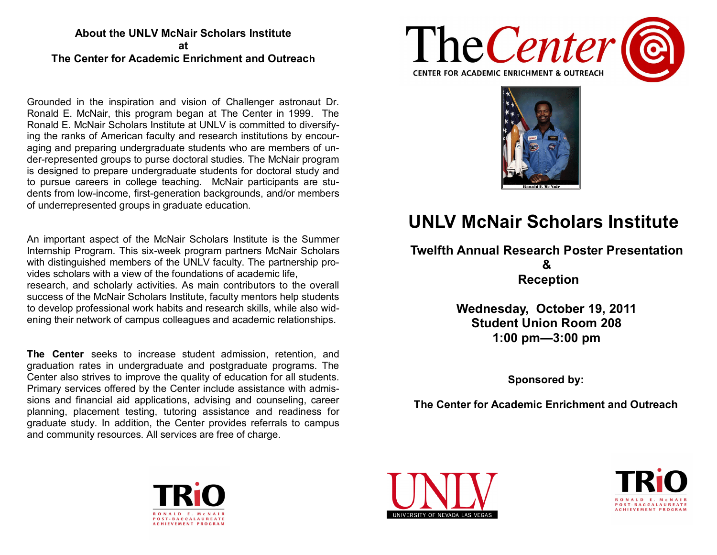### **About the UNLV McNair Scholars Institute at The Center for Academic Enrichment and Outreach**

Grounded in the inspiration and vision of Challenger astronaut Dr. Ronald E. McNair, this program began at The Center in 1999. The Ronald E. McNair Scholars Institute at UNLV is committed to diversifying the ranks of American faculty and research institutions by encouraging and preparing undergraduate students who are members of under-represented groups to purse doctoral studies. The McNair program is designed to prepare undergraduate students for doctoral study and to pursue careers in college teaching. McNair participants are students from low-income, first-generation backgrounds, and/or members of underrepresented groups in graduate education.

An important aspect of the McNair Scholars Institute is the Summer Internship Program. This six-week program partners McNair Scholars with distinguished members of the UNLV faculty. The partnership provides scholars with a view of the foundations of academic life, research, and scholarly activities. As main contributors to the overall success of the McNair Scholars Institute, faculty mentors help students to develop professional work habits and research skills, while also widening their network of campus colleagues and academic relationships.

**The Center** seeks to increase student admission, retention, and graduation rates in undergraduate and postgraduate programs. The Center also strives to improve the quality of education for all students. Primary services offered by the Center include assistance with admissions and financial aid applications, advising and counseling, career planning, placement testing, tutoring assistance and readiness for graduate study. In addition, the Center provides referrals to campus and community resources. All services are free of charge.





## **UNLV McNair Scholars Institute**

## **Twelfth Annual Research Poster Presentation & Reception**

**Wednesday, October 19, 2011 Student Union Room 208 1:00 pm—3:00 pm**

**Sponsored by:**

**The Center for Academic Enrichment and Outreach**